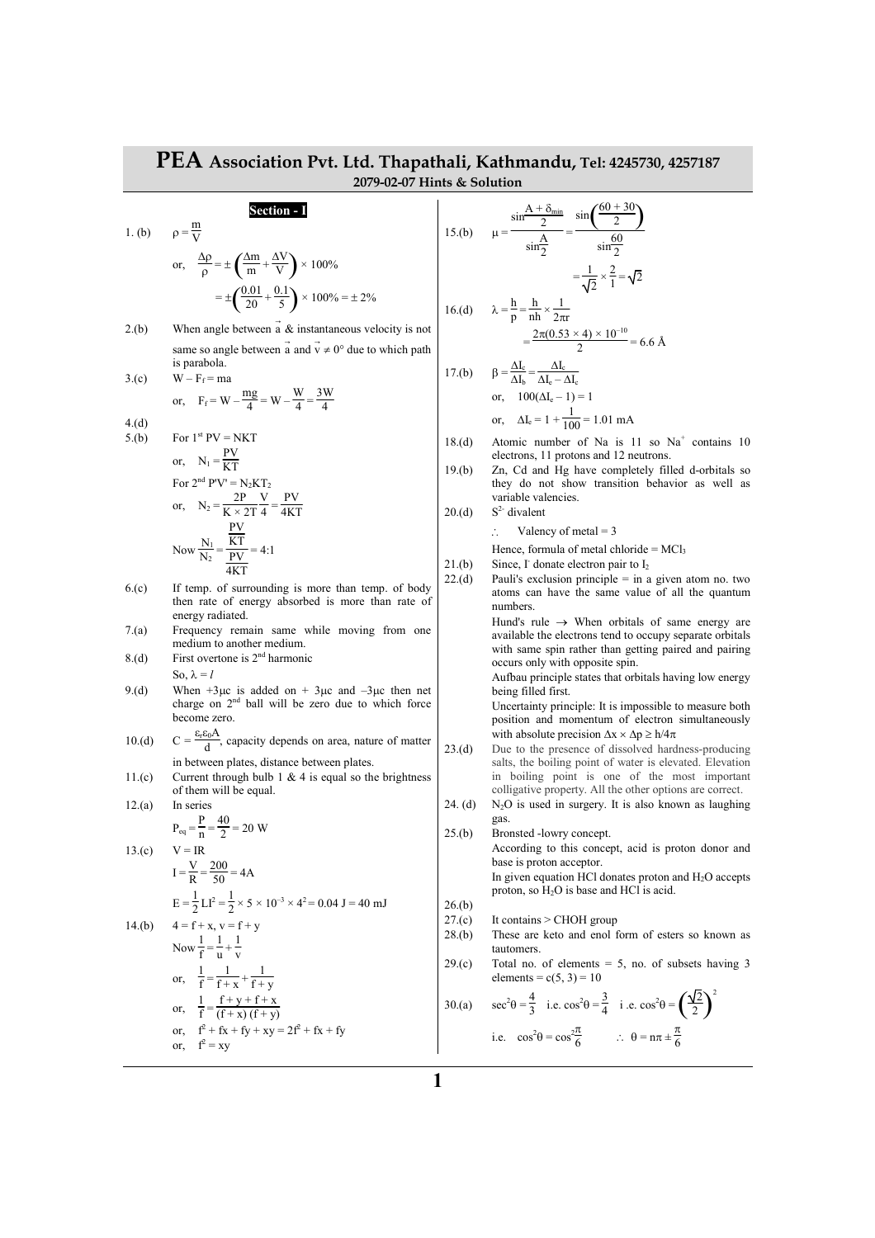## **PEA Association Pvt. Ltd. Thapathali, Kathmandu, Tel: 4245730, 4257187 2079-02-07 Hints & Solution**

## **Section - I**

or, 
$$
\frac{\Delta p}{\rho} = \pm \left( \frac{\Delta m}{m} + \frac{\Delta V}{V} \right) \times 100\%
$$
  
=  $\pm \left( \frac{0.01}{20} + \frac{0.1}{5} \right) \times 100\% = \pm 2\%$ 

2.(b) When angle between  $\vec{a} \& \text{instantaneous velocity is not}$ same so angle between  $\vec{a}$  and  $\vec{v} \neq 0^{\circ}$  due to which path is parabola.

5.(c) 
$$
W - F_f - ma
$$
  
or,  $F_f = W - \frac{mg}{4} = W - \frac{W}{4} = \frac{3W}{4}$ 

4.(d)  $5.(b)$ 

 $3.(c)$ 

 $1.$  (b)

m

5.(b) For 1<sup>st</sup> PV = NKT  
\nor, 
$$
N_1 = \frac{PV}{KT}
$$
  
\nFor 2<sup>nd</sup> PV' = N<sub>2</sub>KT<sub>2</sub>  
\nor,  $N_2 = \frac{2P}{K \times 2T} \frac{V}{4} = \frac{PV}{4KT}$   
\nNow  $\frac{N_1}{N_2} = \frac{\frac{PV}{KT}}{\frac{PV}{4KT}} = 4:1$ 

- 6.(c) If temp. of surrounding is more than temp. of body then rate of energy absorbed is more than rate of energy radiated.
- 7.(a) Frequency remain same while moving from one medium to another medium.
- 8.(d) First overtone is  $2<sup>nd</sup>$  harmonic So,  $\lambda = l$
- 9.(d) When  $+3\mu c$  is added on  $+3\mu c$  and  $-3\mu c$  then net charge on  $2<sup>nd</sup>$  ball will be zero due to which force become zero.
- 10.(d)  $C = \frac{\varepsilon_r \varepsilon_0 A}{d}$ , capacity depends on area, nature of matter in between plates, distance between plates.
- 11.(c) Current through bulb 1  $\&$  4 is equal so the brightness of them will be equal.  $12.(a)$

12.(a) In series  

$$
P_{eq} = \frac{P}{n} = \frac{40}{2} = 20 \text{ W}
$$

or,  $f^2 = xy$ 

 $14.$ (b)

13.(c) 
$$
V = IR
$$
  
\n $V = 200$ 

$$
I = \frac{1}{R} = \frac{200}{50} = 4A
$$

$$
E = \frac{1}{2}LI^{2} = \frac{1}{2} \times 5 \times 10^{-3} \times 4^{2} = 0.04 J = 14.(b)
$$
 4 = f + x, v = f + y

Now 
$$
\frac{1}{f} = \frac{1}{u} + \frac{1}{v}
$$
  
or,  $\frac{1}{f} = \frac{1}{f + v} + \frac{1}{f + v}$ 

or, 
$$
\frac{1}{f} = \frac{f}{f+x} + \frac{f}{f+y}
$$
  
\nor,  $\frac{1}{f} = \frac{f+y+f+x}{(f+x) (f+y)}$   
\nor,  $f^2 + fx + fy + xy = 2f^2 + fx + fy$ 

15.(b) 
$$
\mu = \frac{2}{\sin \frac{A}{2}} = \frac{60}{\sin \frac{60}{2}}
$$

$$
= \frac{1}{\sqrt{2}} \times \frac{2}{1} = \sqrt{2}
$$
  
16.(d) 
$$
\lambda = \frac{h}{p} = \frac{h}{nh} \times \frac{1}{2\pi r}
$$

$$
= \frac{2\pi (0.53 \times 4) \times 10^{-10}}{2} = 6.6 \text{ Å}
$$
  
17.(b) 
$$
\beta = \frac{\Delta I_c}{\Delta t} = \frac{\Delta I_c}{\Delta t}
$$

 $\sin \frac{A + \delta_{\min}}{2}$ 2

17.(b) 
$$
\beta = \frac{1}{\Delta I_b} = \frac{1}{\Delta I_c - \Delta I_c}
$$
  
or, 
$$
100(\Delta I_c - 1) = 1
$$
  
or, 
$$
\Delta I_c = 1 + \frac{1}{100} = 1.01 \text{ mA}
$$

18.(d) Atomic number of Na is  $11$  so Na<sup>+</sup> contains 10 electrons, 11 protons and 12 neutrons.

 $\sin\left(\frac{60+30}{2}\right)$ 2

19.(b) Zn, Cd and Hg have completely filled d-orbitals so they do not show transition behavior as well as variable valencies.

 $20.(d)$  S<sup>2-</sup> divalent

∴ Valency of metal = 3

Hence, formula of metal chloride =  $MCl<sub>3</sub>$ 

- 21.(b) Since,  $\Gamma$  donate electron pair to  $I_2$
- 22.(d) Pauli's exclusion principle = in a given atom no. two atoms can have the same value of all the quantum numbers.

Hund's rule  $\rightarrow$  When orbitals of same energy are available the electrons tend to occupy separate orbitals with same spin rather than getting paired and pairing occurs only with opposite spin.

 Aufbau principle states that orbitals having low energy being filled first.

 Uncertainty principle: It is impossible to measure both position and momentum of electron simultaneously with absolute precision  $\Delta x \times \Delta p \ge h/4\pi$ 

- 23.(d) Due to the presence of dissolved hardness-producing salts, the boiling point of water is elevated. Elevation in boiling point is one of the most important colligative property. All the other options are correct.
- 24. (d)  $N_2O$  is used in surgery. It is also known as laughing gas.
- 25.(b) Bronsted -lowry concept. According to this concept, acid is proton donor and base is proton acceptor. In given equation HCl donates proton and  $H_2O$  accepts proton, so H2O is base and HCl is acid.
- 26.(b)  $27(c)$  It contains > CHOH group
- 28.(b) These are keto and enol form of esters so known as tautomers.
- 29.(c) Total no. of elements  $= 5$ , no. of subsets having 3 elements =  $c(5, 3) = 10$ 2

30.(a) 
$$
\sec^2\theta = \frac{4}{3}
$$
 i.e.  $\cos^2\theta = \frac{3}{4}$  i.e.  $\cos^2\theta = \left(\frac{\sqrt{2}}{2}\right)^2$   
i.e.  $\cos^2\theta = \cos^2\frac{\pi}{6}$   $\therefore \theta = n\pi \pm \frac{\pi}{6}$ 

$$
\boldsymbol{1}
$$

 $40<sub>ml</sub>$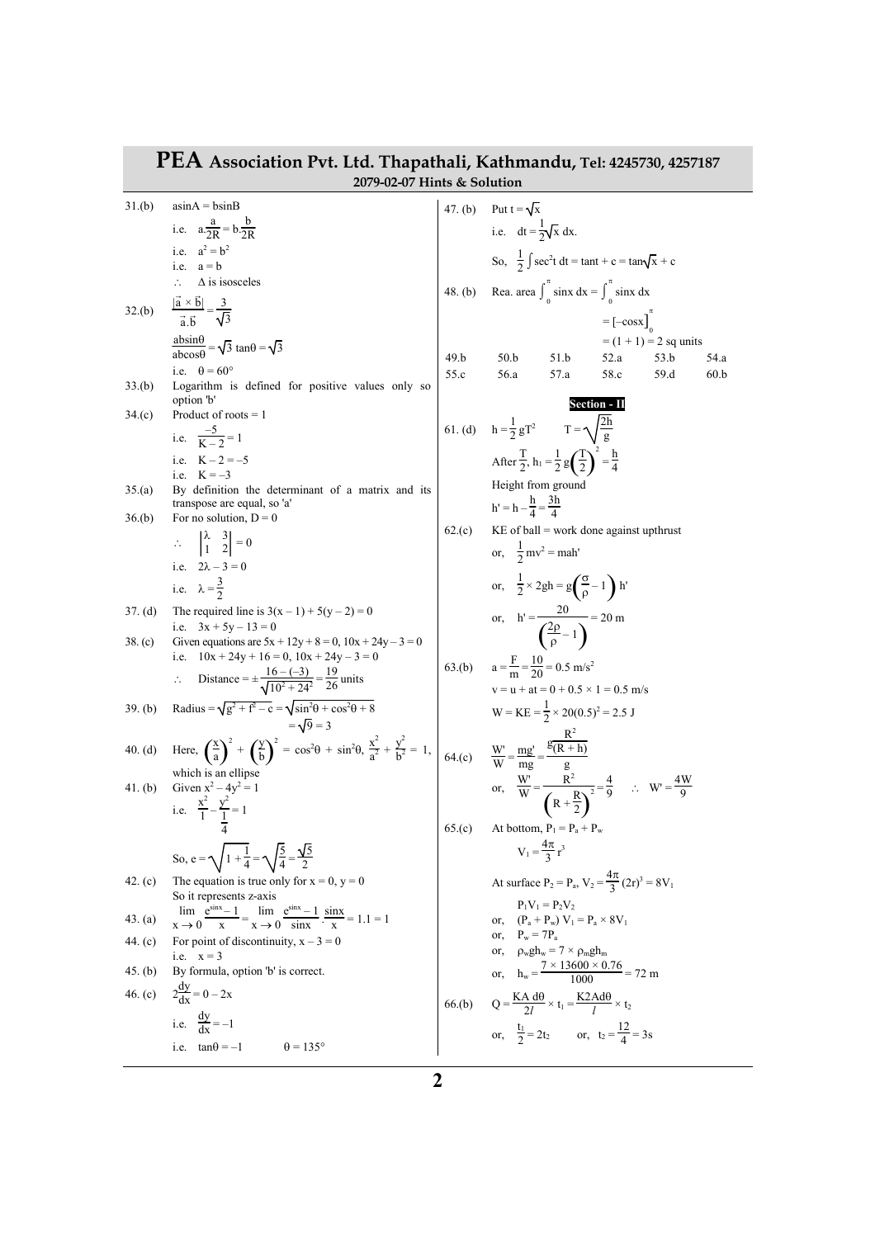| PEA Association Pvt. Ltd. Thapathali, Kathmandu, Tel: 4245730, 4257187<br>2079-02-07 Hints & Solution |                                                                                                                                                      |              |                                                                                                    |  |  |
|-------------------------------------------------------------------------------------------------------|------------------------------------------------------------------------------------------------------------------------------------------------------|--------------|----------------------------------------------------------------------------------------------------|--|--|
| 31.(b)                                                                                                | $asinA = bsinB$                                                                                                                                      |              |                                                                                                    |  |  |
|                                                                                                       | i.e. $a\frac{a}{2R} = b\frac{b}{2R}$                                                                                                                 |              | 47. (b) Put $t = \sqrt{x}$<br>i.e. $dt = \frac{1}{2}\sqrt{x} dx$ .                                 |  |  |
|                                                                                                       | i.e. $a^2 = b^2$                                                                                                                                     |              | So, $\frac{1}{2} \int \sec^2 t dt = \tan t + c = \tan \sqrt{x} + c$                                |  |  |
|                                                                                                       | i.e. $a = b$<br>$\Delta$ is isosceles<br>$\therefore$                                                                                                |              |                                                                                                    |  |  |
|                                                                                                       |                                                                                                                                                      |              | 48. (b) Rea. area $\int_0^{\pi} \sin x \, dx = \int_0^{\pi} \sin x \, dx$                          |  |  |
| 32.(b)                                                                                                | $\frac{ \vec{a} \times \vec{b} }{\vec{a} \cdot \vec{b}} = \frac{3}{\sqrt{3}}$                                                                        |              | $= [-\cos x]_0$                                                                                    |  |  |
|                                                                                                       | $\frac{\text{absin}\theta}{\text{absos}\theta} = \sqrt{3} \tan \theta = \sqrt{3}$                                                                    |              | $= (1 + 1) = 2$ sq units                                                                           |  |  |
|                                                                                                       | i.e. $\theta = 60^{\circ}$                                                                                                                           | 49.b<br>55.c | 50.b<br>51.b<br>52.a<br>53.b<br>54.a<br>56.a<br>57.a<br>58.c<br>59.d<br>60.b                       |  |  |
| 33.(b)                                                                                                | Logarithm is defined for positive values only so<br>option 'b'                                                                                       |              |                                                                                                    |  |  |
| 34(c)                                                                                                 | Product of roots $= 1$                                                                                                                               |              | <b>Section - II</b>                                                                                |  |  |
|                                                                                                       | i.e. $\frac{-5}{K-2} = 1$                                                                                                                            |              | 61. (d) $h = \frac{1}{2} gT^2$ $T = \sqrt{\frac{2h}{g}}$                                           |  |  |
|                                                                                                       | i.e. $K - 2 = -5$                                                                                                                                    |              | After $\frac{T}{2}$ , $h_1 = \frac{1}{2} g \left( \frac{T}{2} \right)^2 = \frac{h}{4}$             |  |  |
| 35(a)                                                                                                 | i.e. $K = -3$<br>By definition the determinant of a matrix and its                                                                                   |              | Height from ground                                                                                 |  |  |
|                                                                                                       | transpose are equal, so 'a'                                                                                                                          |              | $h' = h - \frac{h}{4} = \frac{3h}{4}$                                                              |  |  |
| 36.(b)                                                                                                | For no solution, $D = 0$                                                                                                                             | 62.(c)       | $KE$ of ball = work done against upthrust                                                          |  |  |
|                                                                                                       | $\therefore \begin{vmatrix} \lambda & 3 \\ 1 & 2 \end{vmatrix} = 0$                                                                                  |              | or, $\frac{1}{2}mv^2 =$ mah'                                                                       |  |  |
|                                                                                                       | i.e. $2\lambda - 3 = 0$<br>i.e. $\lambda = \frac{3}{2}$                                                                                              |              | or, $\frac{1}{2} \times 2gh = g\left(\frac{\sigma}{\rho} - 1\right) h'$                            |  |  |
|                                                                                                       |                                                                                                                                                      |              |                                                                                                    |  |  |
| $37.$ (d)                                                                                             | The required line is $3(x - 1) + 5(y - 2) = 0$<br>i.e. $3x + 5y - 13 = 0$                                                                            |              | or, $h' = \frac{20}{\left(\frac{2p}{\rho} - 1\right)} = 20 \text{ m}$                              |  |  |
| 38. (c)                                                                                               | Given equations are $5x + 12y + 8 = 0$ , $10x + 24y - 3 = 0$<br>i.e. $10x + 24y + 16 = 0$ , $10x + 24y - 3 = 0$                                      |              |                                                                                                    |  |  |
|                                                                                                       | Distance = $\pm \frac{16 - (-3)}{\sqrt{10^2 + 24^2}} = \frac{19}{26}$ units                                                                          |              | 63.(b) $a = \frac{F}{m} = \frac{10}{20} = 0.5$ m/s <sup>2</sup>                                    |  |  |
|                                                                                                       |                                                                                                                                                      |              | $v = u + at = 0 + 0.5 \times 1 = 0.5$ m/s                                                          |  |  |
| 39. (b)                                                                                               | Radius = $\sqrt{g^2 + f^2 - c} = \sqrt{\sin^2 \theta + \cos^2 \theta + 8}$<br>$=\sqrt{9}=3$                                                          |              | $W = KE = \frac{1}{2} \times 20(0.5)^2 = 2.5$ J                                                    |  |  |
| 40. (d)                                                                                               | Here, $\left(\frac{x}{a}\right)^2 + \left(\frac{y}{b}\right)^2 = \cos^2\theta + \sin^2\theta$ , $\frac{x^2}{a^2} + \frac{y^2}{b^2} = 1$ ,            |              | 64.(c) $\frac{W}{W} = \frac{mg'}{mg} = \frac{R^2}{g}$                                              |  |  |
|                                                                                                       | which is an ellipse                                                                                                                                  |              |                                                                                                    |  |  |
| 41. (b)                                                                                               | Given $x^2 - 4y^2 = 1$                                                                                                                               |              | or, $\frac{W}{W} = \frac{R^2}{\left(R + \frac{R}{2}\right)^2} = \frac{4}{9}$ : $W' = \frac{4W}{9}$ |  |  |
|                                                                                                       | i.e. $\frac{x^2}{1} - \frac{y^2}{1} = 1$                                                                                                             |              |                                                                                                    |  |  |
|                                                                                                       |                                                                                                                                                      | 65(c)        | At bottom, $P_1 = P_a + P_w$                                                                       |  |  |
|                                                                                                       | So, e = $\sqrt{1+\frac{1}{4}} = \sqrt{\frac{5}{4}} = \frac{\sqrt{5}}{2}$                                                                             |              | $V_1 = \frac{4\pi}{3} r^3$                                                                         |  |  |
| 42. $(c)$                                                                                             | The equation is true only for $x = 0$ , $y = 0$                                                                                                      |              | At surface $P_2 = P_a$ , $V_2 = \frac{4\pi}{3}(2r)^3 = 8V_1$                                       |  |  |
|                                                                                                       | So it represents z-axis<br>$\lim_{x \to 0} \frac{e^{\sin x} - 1}{x} = \lim_{x \to 0} \frac{e^{\sin x} - 1}{\sin x} \cdot \frac{\sin x}{x} = 1.1 = 1$ |              | $P_1V_1 = P_2V_2$                                                                                  |  |  |
| 43. (a)                                                                                               |                                                                                                                                                      |              | or, $(P_a + P_w) V_1 = P_a \times 8V_1$<br>or, $P_w = 7P_a$                                        |  |  |
| 44. (c)                                                                                               | For point of discontinuity, $x - 3 = 0$<br>i.e. $x = 3$                                                                                              |              | or, $\rho_w gh_w = 7 \times \rho_m gh_m$                                                           |  |  |
| 45. $(b)$                                                                                             | By formula, option 'b' is correct.                                                                                                                   |              | or, $h_w = \frac{7 \times 13600 \times 0.76}{1000} = 72 \text{ m}$                                 |  |  |
|                                                                                                       | 46. (c) $2\frac{dy}{dx} = 0 - 2x$                                                                                                                    |              | 66.(b) $Q = \frac{KA \ d\theta}{2l} \times t_1 = \frac{K2Ad\theta}{l} \times t_2$                  |  |  |
|                                                                                                       | i.e. $\frac{dy}{dx} = -1$                                                                                                                            |              | or, $\frac{t_1}{2} = 2t_2$ or, $t_2 = \frac{12}{4} = 3s$                                           |  |  |
|                                                                                                       | i.e. $tan\theta = -1$<br>$\theta = 135^{\circ}$                                                                                                      |              |                                                                                                    |  |  |
|                                                                                                       |                                                                                                                                                      |              |                                                                                                    |  |  |

## **2**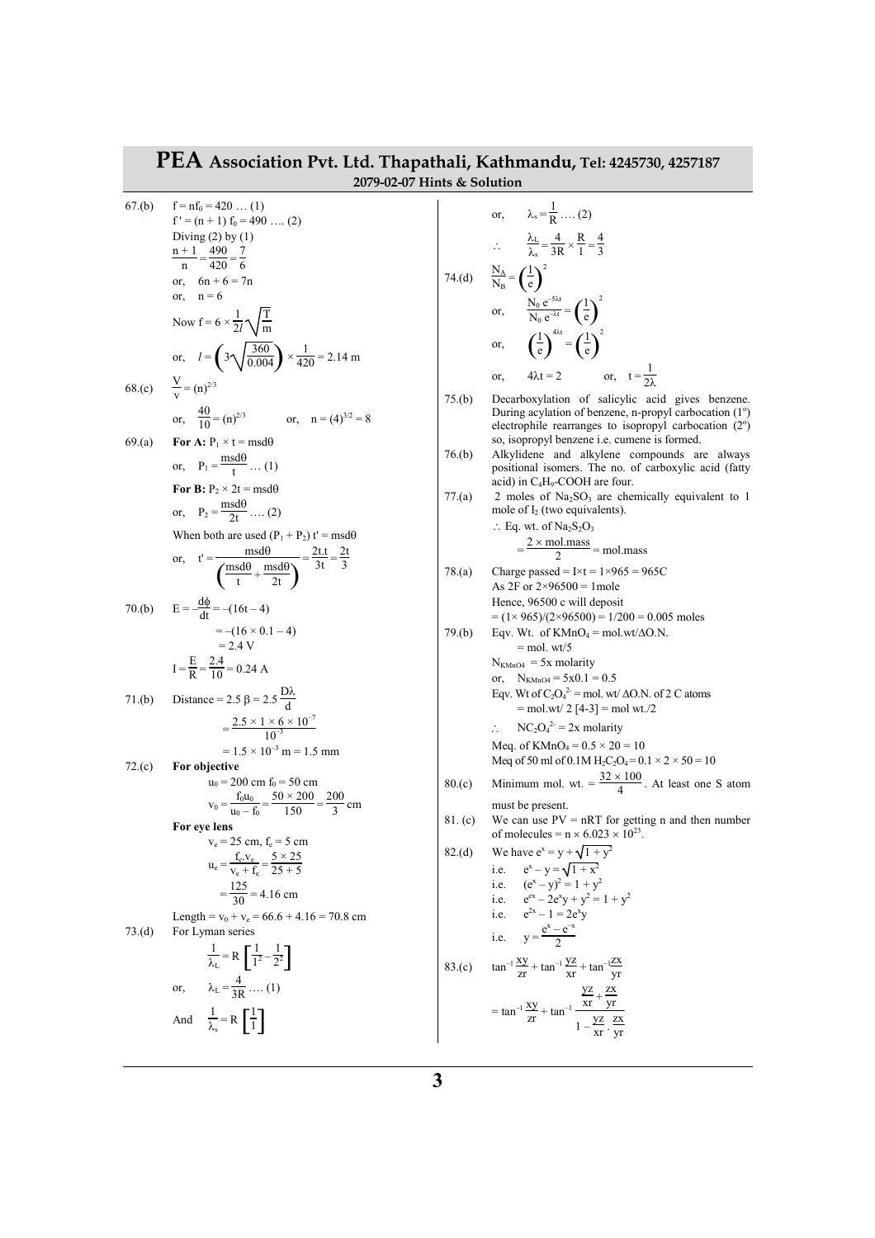| PEA Association Pvt. Ltd. Thapathali, Kathmandu, Tel: 4245730, 4257187<br>2079-02-07 Hints & Solution |                                                                                                                       |         |                                                                                                                                       |  |
|-------------------------------------------------------------------------------------------------------|-----------------------------------------------------------------------------------------------------------------------|---------|---------------------------------------------------------------------------------------------------------------------------------------|--|
| 67.(b)                                                                                                | $f = nf_0 = 420$ (1)                                                                                                  |         |                                                                                                                                       |  |
|                                                                                                       | $f' = (n + 1) f_0 = 490 \dots (2)$                                                                                    |         | or, $\lambda_s = \frac{1}{R}$ (2)                                                                                                     |  |
|                                                                                                       | Diving $(2)$ by $(1)$                                                                                                 |         | $\therefore \qquad \frac{\lambda_L}{\lambda} = \frac{4}{3R} \times \frac{R}{1} = \frac{4}{3}$                                         |  |
|                                                                                                       | $\frac{n+1}{n} = \frac{490}{420} = \frac{7}{6}$                                                                       |         |                                                                                                                                       |  |
|                                                                                                       | or, $6n + 6 = 7n$                                                                                                     |         | 74.(d) $\frac{N_A}{N_B} = \left(\frac{1}{e}\right)^2$                                                                                 |  |
|                                                                                                       | or, $n = 6$                                                                                                           |         |                                                                                                                                       |  |
|                                                                                                       | Now $f = 6 \times \frac{1}{2l} \sqrt{\frac{T}{m}}$                                                                    |         | or, $\frac{N_0 e^{-5\lambda t}}{N_0 e^{-\lambda t}} = \left(\frac{1}{e}\right)^2$                                                     |  |
|                                                                                                       | or, $l = \left(3\sqrt{\frac{360}{0.004}}\right) \times \frac{1}{420} = 2.14 \text{ m}$                                |         | or, $\left(\frac{1}{e}\right)^{4\lambda t} = \left(\frac{1}{e}\right)^2$                                                              |  |
|                                                                                                       |                                                                                                                       |         | $4\lambda t = 2$ or, $t = \frac{1}{2\lambda}$<br>or.                                                                                  |  |
| 68.(c)                                                                                                | $\frac{V}{V} = (n)^{2/3}$                                                                                             | 75.(b)  | Decarboxylation of salicylic acid gives benzene.                                                                                      |  |
|                                                                                                       | or, $\frac{40}{10} = (n)^{2/3}$ or, $n = (4)^{3/2} = 8$                                                               |         | During acylation of benzene, n-propyl carbocation (1 <sup>o</sup> )<br>electrophile rearranges to isopropyl carbocation $(2^{\circ})$ |  |
| 69(a)                                                                                                 | For A: $P_1 \times t = msd\theta$                                                                                     |         | so, isopropyl benzene i.e. cumene is formed.                                                                                          |  |
|                                                                                                       | or, $P_1 = \frac{msd\theta}{t} \dots (1)$                                                                             | 76.(b)  | Alkylidene and alkylene compounds are always<br>positional isomers. The no. of carboxylic acid (fatty                                 |  |
|                                                                                                       | For B: $P_2 \times 2t = msd\theta$                                                                                    | 77.(a)  | acid) in C <sub>4</sub> H <sub>9</sub> -COOH are four.<br>2 moles of $Na2SO3$ are chemically equivalent to 1                          |  |
|                                                                                                       | or, $P_2 = \frac{msd\theta}{2t}$ (2)                                                                                  |         | mole of $I_2$ (two equivalents).                                                                                                      |  |
|                                                                                                       | When both are used $(P_1 + P_2) t' = msd\theta$                                                                       |         | $\therefore$ Eq. wt. of Na <sub>2</sub> S <sub>2</sub> O <sub>3</sub>                                                                 |  |
|                                                                                                       |                                                                                                                       |         | $=\frac{2 \times \text{mol} \cdot \text{mass}}{2}$ = mol.mass                                                                         |  |
|                                                                                                       | or, $t' = \frac{msd\theta}{\left(\frac{msd\theta}{t} + \frac{msd\theta}{2t}\right)} = \frac{2t.t}{3t} = \frac{2t}{3}$ | 78.(a)  | Charge passed = $I \times t = 1 \times 965 = 965C$<br>As 2F or $2\times96500 = 1$ mole                                                |  |
|                                                                                                       | $E = -\frac{d\phi}{dt} = -(16t - 4)$                                                                                  |         | Hence, 96500 c will deposit                                                                                                           |  |
| 70.(b)                                                                                                |                                                                                                                       |         | $= (1 \times 965)/(2 \times 96500) = 1/200 = 0.005$ moles                                                                             |  |
|                                                                                                       | $=-(16\times 0.1-4)$<br>$= 2.4 V$                                                                                     | 79.(b)  | Eqv. Wt. of $KMnO_4 = mol.wt/\Delta O.N$ .<br>$=$ mol. wt/5                                                                           |  |
|                                                                                                       | $I = \frac{E}{R} = \frac{2.4}{10} = 0.24 A$                                                                           |         | $N_{KMnO4}$ = 5x molarity                                                                                                             |  |
|                                                                                                       |                                                                                                                       |         | or, $N_{KMD4} = 5x0.1 = 0.5$<br>Eqv. Wt of $C_2O_4^{2}$ = mol. wt/ $\Delta$ O.N. of 2 C atoms                                         |  |
| 71.(b)                                                                                                | Distance = 2.5 $\beta$ = 2.5 $\frac{D\lambda}{d}$                                                                     |         | $=$ mol.wt/ 2 [4-3] $=$ mol wt./2                                                                                                     |  |
|                                                                                                       | $=\frac{2.5\times1\times6\times10^{-7}}{10^{-3}}$                                                                     |         | $NC_2O_4^{2} = 2x$ molarity                                                                                                           |  |
|                                                                                                       | $= 1.5 \times 10^{-3}$ m = 1.5 mm                                                                                     |         | Meq. of $KMnO_4 = 0.5 \times 20 = 10$<br>Meq of 50 ml of 0.1M $H_2C_2O_4 = 0.1 \times 2 \times 50 = 10$                               |  |
| 72.(c)                                                                                                | For objective<br>$u_0 = 200$ cm $f_0 = 50$ cm                                                                         | 80(c)   | Minimum mol. wt. = $\frac{32 \times 100}{4}$ . At least one S atom                                                                    |  |
|                                                                                                       | $f_0 u_0$ 50 × 200<br><b>200</b>                                                                                      |         |                                                                                                                                       |  |
|                                                                                                       | $v_0 = \frac{v_0 - f_0}{u_0 - f_0}$<br>=7<br>$\frac{1}{3}$ cm<br>150                                                  | 81. (c) | must be present.<br>We can use $PV = nRT$ for getting n and then number                                                               |  |
|                                                                                                       | For eye lens<br>$v_e = 25$ cm, $f_e = 5$ cm                                                                           |         | of molecules = $n \times 6.023 \times 10^{23}$ .                                                                                      |  |
|                                                                                                       | $u_e = \frac{f_e v_e}{v_e + f_e} = \frac{5 \times 25}{25 + 5}$                                                        | 82.(d)  | We have $e^x = y + \sqrt{1 + y^2}$                                                                                                    |  |
|                                                                                                       |                                                                                                                       |         | i.e. $e^x - y = \sqrt{1 + x^2}$                                                                                                       |  |
|                                                                                                       | $=\frac{125}{30}$ = 4.16 cm                                                                                           |         | i.e. $(e^x - y)^2 = 1 + y^2$<br>i.e. $e^{ex} - 2e^{x}y + y^{2} = 1 + y^{2}$                                                           |  |
|                                                                                                       | Length = $v_0$ + $v_e$ = 66.6 + 4.16 = 70.8 cm                                                                        |         | i.e. $e^{2x} - 1 = 2e^{x}y$                                                                                                           |  |
| 73.(d)                                                                                                | For Lyman series                                                                                                      |         | i.e. $y = \frac{e^{x} - e^{-x}}{2}$                                                                                                   |  |
|                                                                                                       | $\frac{1}{\lambda_1} = R \left[ \frac{1}{1^2} - \frac{1}{2^2} \right]$                                                |         | 83.(c) $\tan^{-1} \frac{xy}{zr} + \tan^{-1} \frac{yz}{xr} + \tan^{-1} \frac{zx}{yr}$                                                  |  |
|                                                                                                       | or, $\lambda_L = \frac{4}{3R}$ (1)                                                                                    |         |                                                                                                                                       |  |
|                                                                                                       |                                                                                                                       |         |                                                                                                                                       |  |
|                                                                                                       | And $\frac{1}{\lambda_{s}} = R \left[ \frac{1}{1} \right]$                                                            |         | = $\tan^{-1} \frac{xy}{zx} + \tan^{-1} \frac{\frac{yz}{xr} + \frac{zx}{yr}}{1 - \frac{yz}{xr} \cdot \frac{zx}{yr}}$                   |  |
|                                                                                                       |                                                                                                                       |         |                                                                                                                                       |  |